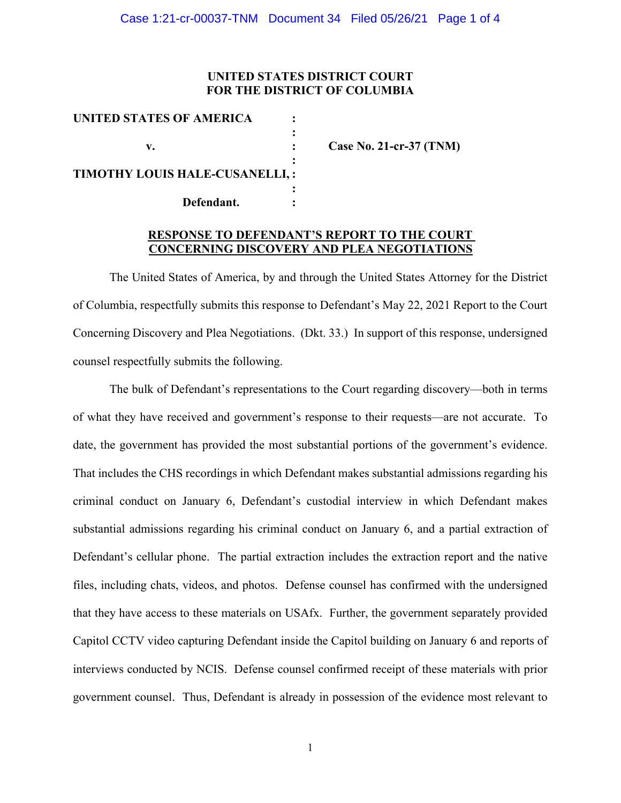### **UNITED STATES DISTRICT COURT FOR THE DISTRICT OF COLUMBIA**

| <b>UNITED STATES OF AMERICA</b> |                           |
|---------------------------------|---------------------------|
|                                 |                           |
| v.                              | Case No. 21-cr-37 $(TNM)$ |
|                                 |                           |
| TIMOTHY LOUIS HALE-CUSANELLI,:  |                           |
|                                 |                           |
| Defendant.                      |                           |
|                                 |                           |

# **RESPONSE TO DEFENDANT'S REPORT TO THE COURT CONCERNING DISCOVERY AND PLEA NEGOTIATIONS**

The United States of America, by and through the United States Attorney for the District of Columbia, respectfully submits this response to Defendant's May 22, 2021 Report to the Court Concerning Discovery and Plea Negotiations. (Dkt. 33.) In support of this response, undersigned counsel respectfully submits the following.

The bulk of Defendant's representations to the Court regarding discovery—both in terms of what they have received and government's response to their requests—are not accurate. To date, the government has provided the most substantial portions of the government's evidence. That includes the CHS recordings in which Defendant makes substantial admissions regarding his criminal conduct on January 6, Defendant's custodial interview in which Defendant makes substantial admissions regarding his criminal conduct on January 6, and a partial extraction of Defendant's cellular phone. The partial extraction includes the extraction report and the native files, including chats, videos, and photos. Defense counsel has confirmed with the undersigned that they have access to these materials on USAfx. Further, the government separately provided Capitol CCTV video capturing Defendant inside the Capitol building on January 6 and reports of interviews conducted by NCIS. Defense counsel confirmed receipt of these materials with prior government counsel. Thus, Defendant is already in possession of the evidence most relevant to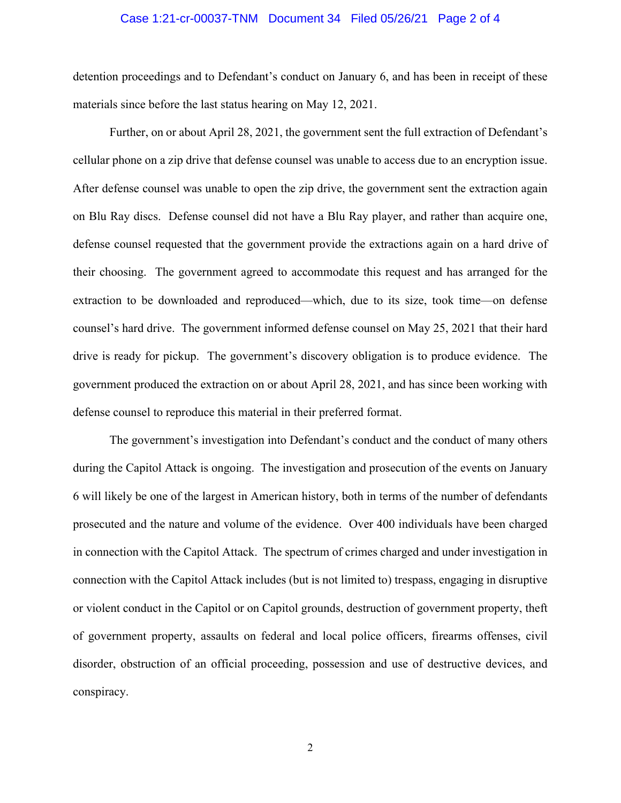#### Case 1:21-cr-00037-TNM Document 34 Filed 05/26/21 Page 2 of 4

detention proceedings and to Defendant's conduct on January 6, and has been in receipt of these materials since before the last status hearing on May 12, 2021.

Further, on or about April 28, 2021, the government sent the full extraction of Defendant's cellular phone on a zip drive that defense counsel was unable to access due to an encryption issue. After defense counsel was unable to open the zip drive, the government sent the extraction again on Blu Ray discs. Defense counsel did not have a Blu Ray player, and rather than acquire one, defense counsel requested that the government provide the extractions again on a hard drive of their choosing. The government agreed to accommodate this request and has arranged for the extraction to be downloaded and reproduced—which, due to its size, took time—on defense counsel's hard drive. The government informed defense counsel on May 25, 2021 that their hard drive is ready for pickup. The government's discovery obligation is to produce evidence. The government produced the extraction on or about April 28, 2021, and has since been working with defense counsel to reproduce this material in their preferred format.

The government's investigation into Defendant's conduct and the conduct of many others during the Capitol Attack is ongoing. The investigation and prosecution of the events on January 6 will likely be one of the largest in American history, both in terms of the number of defendants prosecuted and the nature and volume of the evidence. Over 400 individuals have been charged in connection with the Capitol Attack. The spectrum of crimes charged and under investigation in connection with the Capitol Attack includes (but is not limited to) trespass, engaging in disruptive or violent conduct in the Capitol or on Capitol grounds, destruction of government property, theft of government property, assaults on federal and local police officers, firearms offenses, civil disorder, obstruction of an official proceeding, possession and use of destructive devices, and conspiracy.

2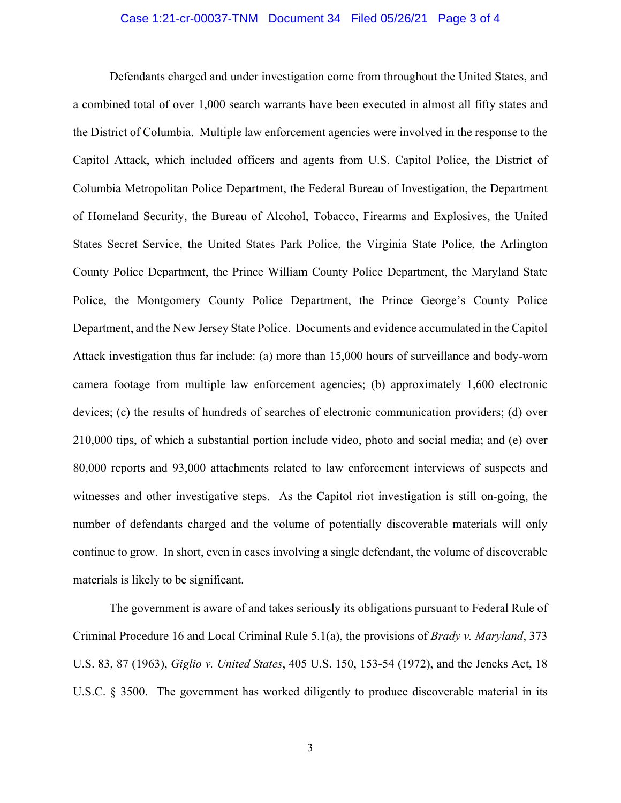### Case 1:21-cr-00037-TNM Document 34 Filed 05/26/21 Page 3 of 4

Defendants charged and under investigation come from throughout the United States, and a combined total of over 1,000 search warrants have been executed in almost all fifty states and the District of Columbia. Multiple law enforcement agencies were involved in the response to the Capitol Attack, which included officers and agents from U.S. Capitol Police, the District of Columbia Metropolitan Police Department, the Federal Bureau of Investigation, the Department of Homeland Security, the Bureau of Alcohol, Tobacco, Firearms and Explosives, the United States Secret Service, the United States Park Police, the Virginia State Police, the Arlington County Police Department, the Prince William County Police Department, the Maryland State Police, the Montgomery County Police Department, the Prince George's County Police Department, and the New Jersey State Police. Documents and evidence accumulated in the Capitol Attack investigation thus far include: (a) more than 15,000 hours of surveillance and body-worn camera footage from multiple law enforcement agencies; (b) approximately 1,600 electronic devices; (c) the results of hundreds of searches of electronic communication providers; (d) over 210,000 tips, of which a substantial portion include video, photo and social media; and (e) over 80,000 reports and 93,000 attachments related to law enforcement interviews of suspects and witnesses and other investigative steps. As the Capitol riot investigation is still on-going, the number of defendants charged and the volume of potentially discoverable materials will only continue to grow. In short, even in cases involving a single defendant, the volume of discoverable materials is likely to be significant.

The government is aware of and takes seriously its obligations pursuant to Federal Rule of Criminal Procedure 16 and Local Criminal Rule 5.1(a), the provisions of *Brady v. Maryland*, 373 U.S. 83, 87 (1963), *Giglio v. United States*, 405 U.S. 150, 153-54 (1972), and the Jencks Act, 18 U.S.C. § 3500. The government has worked diligently to produce discoverable material in its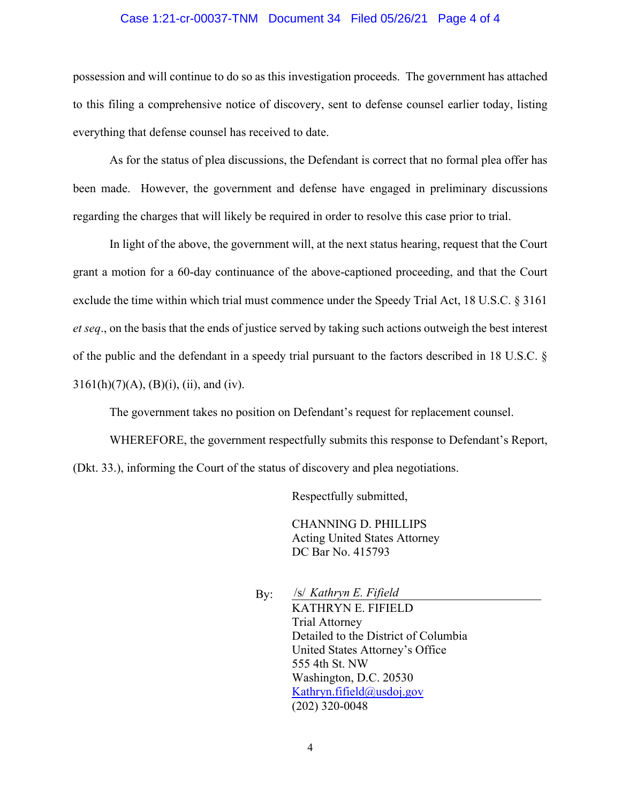### Case 1:21-cr-00037-TNM Document 34 Filed 05/26/21 Page 4 of 4

possession and will continue to do so as this investigation proceeds. The government has attached to this filing a comprehensive notice of discovery, sent to defense counsel earlier today, listing everything that defense counsel has received to date.

As for the status of plea discussions, the Defendant is correct that no formal plea offer has been made. However, the government and defense have engaged in preliminary discussions regarding the charges that will likely be required in order to resolve this case prior to trial.

In light of the above, the government will, at the next status hearing, request that the Court grant a motion for a 60-day continuance of the above-captioned proceeding, and that the Court exclude the time within which trial must commence under the Speedy Trial Act, 18 U.S.C. § 3161 *et seq*., on the basis that the ends of justice served by taking such actions outweigh the best interest of the public and the defendant in a speedy trial pursuant to the factors described in 18 U.S.C. §  $3161(h)(7)(A), (B)(i), (ii), and (iv).$ 

The government takes no position on Defendant's request for replacement counsel.

WHEREFORE, the government respectfully submits this response to Defendant's Report, (Dkt. 33.), informing the Court of the status of discovery and plea negotiations.

Respectfully submitted,

CHANNING D. PHILLIPS Acting United States Attorney DC Bar No. 415793

 $Bv:$ KATHRYN E. FIFIELD Trial Attorney Detailed to the District of Columbia United States Attorney's Office 555 4th St. NW Washington, D.C. 20530 Kathryn.fifield@usdoj.gov (202) 320-0048 *Kathryn E. Fifield*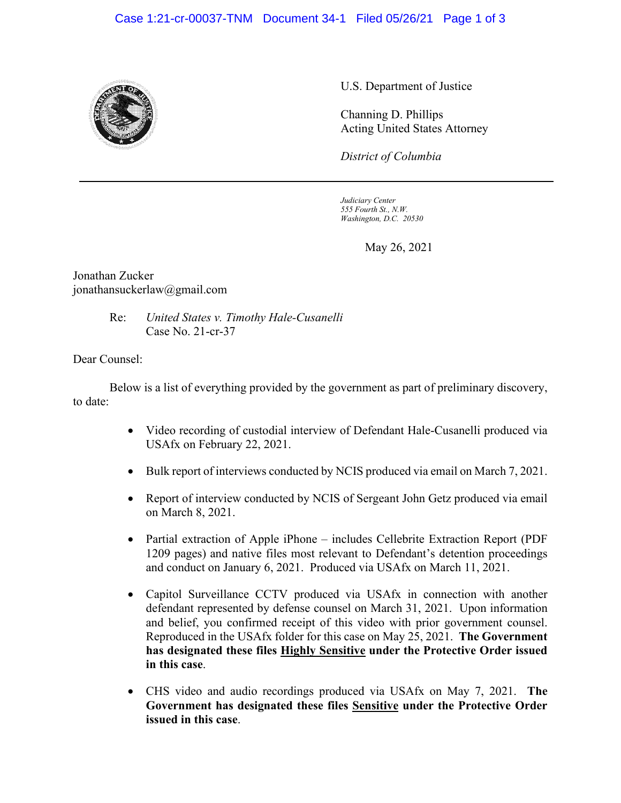# Case 1:21-cr-00037-TNM Document 34-1 Filed 05/26/21 Page 1 of 3



U.S. Department of Justice

Channing D. Phillips Acting United States Attorney

*District of Columbia*

*Judiciary Center 555 Fourth St., N.W. Washington, D.C. 20530*

May 26, 2021

Jonathan Zucker jonathansuckerlaw@gmail.com

> Re: *United States v. Timothy Hale-Cusanelli* Case No. 21-cr-37

Dear Counsel:

Below is a list of everything provided by the government as part of preliminary discovery, to date:

- Video recording of custodial interview of Defendant Hale-Cusanelli produced via USAfx on February 22, 2021.
- Bulk report of interviews conducted by NCIS produced via email on March 7, 2021.
- Report of interview conducted by NCIS of Sergeant John Getz produced via email on March 8, 2021.
- Partial extraction of Apple iPhone includes Cellebrite Extraction Report (PDF 1209 pages) and native files most relevant to Defendant's detention proceedings and conduct on January 6, 2021. Produced via USAfx on March 11, 2021.
- Capitol Surveillance CCTV produced via USAfx in connection with another defendant represented by defense counsel on March 31, 2021. Upon information and belief, you confirmed receipt of this video with prior government counsel. Reproduced in the USAfx folder for this case on May 25, 2021. **The Government has designated these files Highly Sensitive under the Protective Order issued in this case**.
- CHS video and audio recordings produced via USAfx on May 7, 2021. **The Government has designated these files Sensitive under the Protective Order issued in this case**.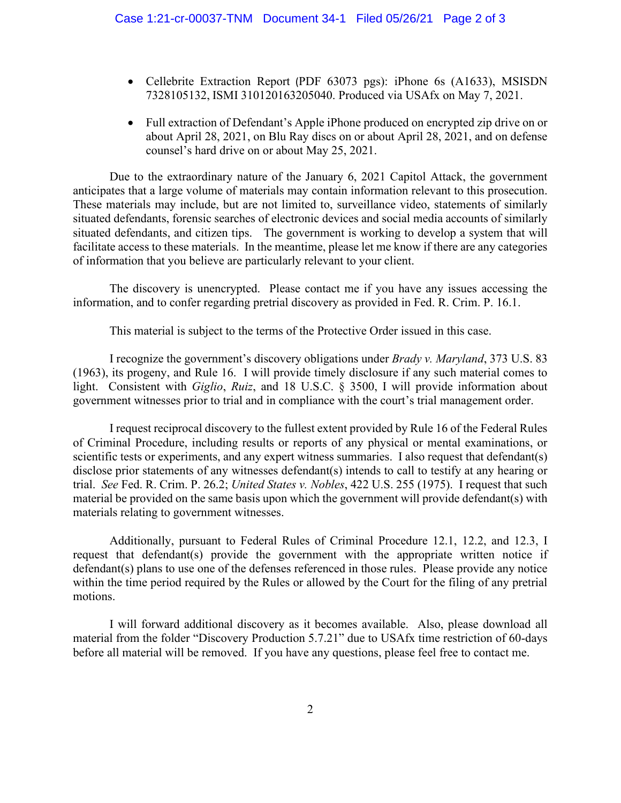- Cellebrite Extraction Report (PDF 63073 pgs): iPhone 6s (A1633), MSISDN 7328105132, ISMI 310120163205040. Produced via USAfx on May 7, 2021.
- Full extraction of Defendant's Apple iPhone produced on encrypted zip drive on or about April 28, 2021, on Blu Ray discs on or about April 28, 2021, and on defense counsel's hard drive on or about May 25, 2021.

Due to the extraordinary nature of the January 6, 2021 Capitol Attack, the government anticipates that a large volume of materials may contain information relevant to this prosecution. These materials may include, but are not limited to, surveillance video, statements of similarly situated defendants, forensic searches of electronic devices and social media accounts of similarly situated defendants, and citizen tips. The government is working to develop a system that will facilitate access to these materials. In the meantime, please let me know if there are any categories of information that you believe are particularly relevant to your client.

The discovery is unencrypted. Please contact me if you have any issues accessing the information, and to confer regarding pretrial discovery as provided in Fed. R. Crim. P. 16.1.

This material is subject to the terms of the Protective Order issued in this case.

I recognize the government's discovery obligations under *Brady v. Maryland*, 373 U.S. 83 (1963), its progeny, and Rule 16. I will provide timely disclosure if any such material comes to light. Consistent with *Giglio*, *Ruiz*, and 18 U.S.C. § 3500, I will provide information about government witnesses prior to trial and in compliance with the court's trial management order.

I request reciprocal discovery to the fullest extent provided by Rule 16 of the Federal Rules of Criminal Procedure, including results or reports of any physical or mental examinations, or scientific tests or experiments, and any expert witness summaries. I also request that defendant(s) disclose prior statements of any witnesses defendant(s) intends to call to testify at any hearing or trial. *See* Fed. R. Crim. P. 26.2; *United States v. Nobles*, 422 U.S. 255 (1975). I request that such material be provided on the same basis upon which the government will provide defendant(s) with materials relating to government witnesses.

Additionally, pursuant to Federal Rules of Criminal Procedure 12.1, 12.2, and 12.3, I request that defendant(s) provide the government with the appropriate written notice if defendant(s) plans to use one of the defenses referenced in those rules. Please provide any notice within the time period required by the Rules or allowed by the Court for the filing of any pretrial motions.

I will forward additional discovery as it becomes available. Also, please download all material from the folder "Discovery Production 5.7.21" due to USAfx time restriction of 60-days before all material will be removed. If you have any questions, please feel free to contact me.